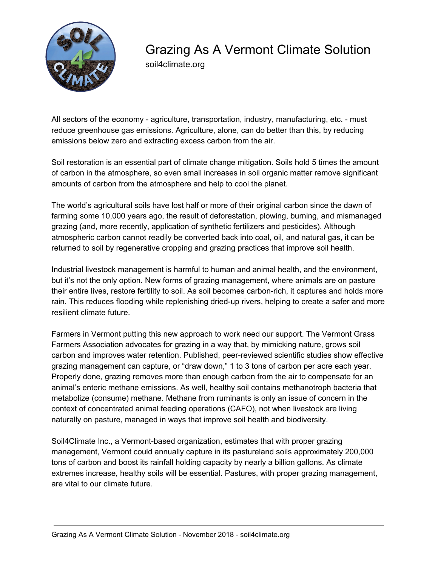

## Grazing As A Vermont Climate Solution

soil4climate.org

All sectors of the economy - agriculture, transportation, industry, manufacturing, etc. - must reduce greenhouse gas emissions. Agriculture, alone, can do better than this, by reducing emissions below zero and extracting excess carbon from the air.

Soil restoration is an essential part of climate change mitigation. Soils hold 5 times the amount of carbon in the atmosphere, so even small increases in soil organic matter remove significant amounts of carbon from the atmosphere and help to cool the planet.

The world's agricultural soils have lost half or more of their original carbon since the dawn of farming some 10,000 years ago, the result of deforestation, plowing, burning, and mismanaged grazing (and, more recently, application of synthetic fertilizers and pesticides). Although atmospheric carbon cannot readily be converted back into coal, oil, and natural gas, it can be returned to soil by regenerative cropping and grazing practices that improve soil health.

Industrial livestock management is harmful to human and animal health, and the environment, but it's not the only option. New forms of grazing management, where animals are on pasture their entire lives, restore fertility to soil. As soil becomes carbon-rich, it captures and holds more rain. This reduces flooding while replenishing dried-up rivers, helping to create a safer and more resilient climate future.

Farmers in Vermont putting this new approach to work need our support. The Vermont Grass Farmers Association advocates for grazing in a way that, by mimicking nature, grows soil carbon and improves water retention. Published, peer-reviewed scientific studies show effective grazing management can capture, or "draw down," 1 to 3 tons of carbon per acre each year. Properly done, grazing removes more than enough carbon from the air to compensate for an animal's enteric methane emissions. As well, healthy soil contains methanotroph bacteria that metabolize (consume) methane. Methane from ruminants is only an issue of concern in the context of concentrated animal feeding operations (CAFO), not when livestock are living naturally on pasture, managed in ways that improve soil health and biodiversity.

Soil4Climate Inc., a Vermont-based organization, estimates that with proper grazing management, Vermont could annually capture in its pastureland soils approximately 200,000 tons of carbon and boost its rainfall holding capacity by nearly a billion gallons. As climate extremes increase, healthy soils will be essential. Pastures, with proper grazing management, are vital to our climate future.